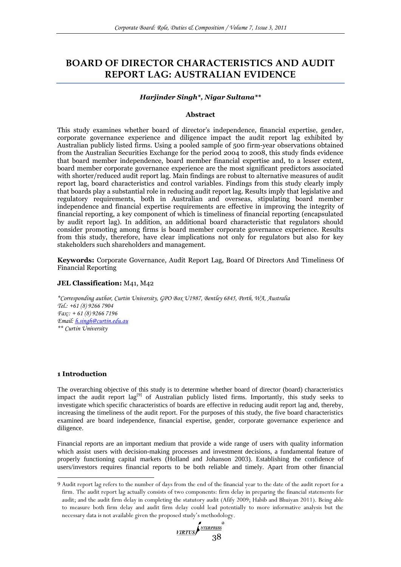# **BOARD OF DIRECTOR CHARACTERISTICS AND AUDIT REPORT LAG: AUSTRALIAN EVIDENCE**

# *Harjinder Singh\*, Nigar Sultana\*\**

### **Abstract**

This study examines whether board of director's independence, financial expertise, gender, corporate governance experience and diligence impact the audit report lag exhibited by Australian publicly listed firms. Using a pooled sample of 500 firm-year observations obtained from the Australian Securities Exchange for the period 2004 to 2008, this study finds evidence that board member independence, board member financial expertise and, to a lesser extent, board member corporate governance experience are the most significant predictors associated with shorter/reduced audit report lag. Main findings are robust to alternative measures of audit report lag, board characteristics and control variables. Findings from this study clearly imply that boards play a substantial role in reducing audit report lag. Results imply that legislative and regulatory requirements, both in Australian and overseas, stipulating board member independence and financial expertise requirements are effective in improving the integrity of financial reporting, a key component of which is timeliness of financial reporting (encapsulated by audit report lag). In addition, an additional board characteristic that regulators should consider promoting among firms is board member corporate governance experience. Results from this study, therefore, have clear implications not only for regulators but also for key stakeholders such shareholders and management.

**Keywords:** Corporate Governance, Audit Report Lag, Board Of Directors And Timeliness Of Financial Reporting

# **JEL Classification:** M41, M42

*\*Corresponding author, Curtin University, GPO Box U1987, Bentley 6845, Perth, WA, Australia Tel.: +61 (8) 9266 7904 Fax:: + 61 (8) 9266 7196 Email: [h.singh@curtin.edu.au](mailto:h.singh@curtin.edu.au) \*\* Curtin University*

## **1 Introduction**

 $\overline{a}$ 

The overarching objective of this study is to determine whether board of director (board) characteristics impact the audit report lag<sup>[9]</sup> of Australian publicly listed firms. Importantly, this study seeks to investigate which specific characteristics of boards are effective in reducing audit report lag and, thereby, increasing the timeliness of the audit report. For the purposes of this study, the five board characteristics examined are board independence, financial expertise, gender, corporate governance experience and diligence.

Financial reports are an important medium that provide a wide range of users with quality information which assist users with decision-making processes and investment decisions, a fundamental feature of properly functioning capital markets [\(Holland and Johanson 2003\)](#page-16-0). Establishing the confidence of users/investors requires financial reports to be both reliable and timely. Apart from other financial

<sup>9</sup> Audit report lag refers to the number of days from the end of the financial year to the date of the audit report for a firm. The audit report lag actually consists of two components: firm delay in preparing the financial statements for audit; and the audit firm delay in completing the statutory audit [\(Afify 2009;](#page-14-0) [Habib and Bhuiyan 2011\)](#page-16-1). Being able to measure both firm delay and audit firm delay could lead potentially to more informative analysis but the necessary data is not available given the proposed study's methodology.

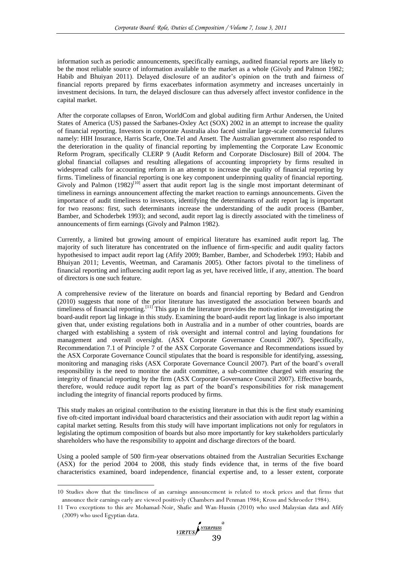information such as periodic announcements, specifically earnings, audited financial reports are likely to be the most reliable source of information available to the market as a whole [\(Givoly and Palmon 1982;](#page-15-0) [Habib and Bhuiyan 2011\)](#page-16-1). Delayed disclosure of an auditor's opinion on the truth and fairness of financial reports prepared by firms exacerbates information asymmetry and increases uncertainly in investment decisions. In turn, the delayed disclosure can thus adversely affect investor confidence in the capital market.

After the corporate collapses of Enron, WorldCom and global auditing firm Arthur Andersen, the United States of America (US) passed the Sarbanes-Oxley Act (SOX) 2002 in an attempt to increase the quality of financial reporting. Investors in corporate Australia also faced similar large-scale commercial failures namely: HIH Insurance, Harris Scarfe, One.Tel and Ansett. The Australian government also responded to the deterioration in the quality of financial reporting by implementing the Corporate Law Economic Reform Program, specifically CLERP 9 (Audit Reform and Corporate Disclosure) Bill of 2004. The global financial collapses and resulting allegations of accounting impropriety by firms resulted in widespread calls for accounting reform in an attempt to increase the quality of financial reporting by firms. Timeliness of financial reporting is one key component underpinning quality of financial reporting. Givoly and Palmon (1982)<sup>[10]</sup> assert that audit report lag is the single most important determinant of timeliness in earnings announcement affecting the market reaction to earnings announcements. Given the importance of audit timeliness to investors, identifying the determinants of audit report lag is important for two reasons: first, such determinants increase the understanding of the audit process [\(Bamber,](#page-15-1)  [Bamber, and Schoderbek 1993\)](#page-15-1); and second, audit report lag is directly associated with the timeliness of announcements of firm earnings [\(Givoly and Palmon 1982\)](#page-15-0).

Currently, a limited but growing amount of empirical literature has examined audit report lag. The majority of such literature has concentrated on the influence of firm-specific and audit quality factors hypothesised to impact audit report lag [\(Afify 2009;](#page-14-0) [Bamber, Bamber, and Schoderbek 1993;](#page-15-1) [Habib and](#page-16-1)  [Bhuiyan 2011;](#page-16-1) [Leventis, Weetman, and Caramanis 2005\)](#page-16-2). Other factors pivotal to the timeliness of financial reporting and influencing audit report lag as yet, have received little, if any, attention. The board of directors is one such feature.

A comprehensive review of the literature on boards and financial reporting by Bedard and Gendron [\(2010\)](#page-15-2) suggests that none of the prior literature has investigated the association between boards and timeliness of financial reporting.<sup>[11]</sup> This gap in the literature provides the motivation for investigating the board-audit report lag linkage in this study. Examining the board-audit report lag linkage is also important given that, under existing regulations both in Australia and in a number of other countries, boards are charged with establishing a system of risk oversight and internal control and laying foundations for management and overall oversight. [\(ASX Corporate Governance Council 2007\)](#page-14-1). Specifically, Recommendation 7.1 of Principle 7 of the ASX Corporate Governance and Recommendations issued by the ASX Corporate Governance Council stipulates that the board is responsible for identifying, assessing, monitoring and managing risks [\(ASX Corporate Governance Council 2007\)](#page-14-1). Part of the board's overall responsibility is the need to monitor the audit committee, a sub-committee charged with ensuring the integrity of financial reporting by the firm [\(ASX Corporate Governance Council 2007\)](#page-14-1). Effective boards, therefore, would reduce audit report lag as part of the board's responsibilities for risk management including the integrity of financial reports produced by firms.

This study makes an original contribution to the existing literature in that this is the first study examining five oft-cited important individual board characteristics and their association with audit report lag within a capital market setting. Results from this study will have important implications not only for regulators in legislating the optimum composition of boards but also more importantly for key stakeholders particularly shareholders who have the responsibility to appoint and discharge directors of the board.

Using a pooled sample of 500 firm-year observations obtained from the Australian Securities Exchange (ASX) for the period 2004 to 2008, this study finds evidence that, in terms of the five board characteristics examined, board independence, financial expertise and, to a lesser extent, corporate

-

<sup>11</sup> Two exceptions to this are Mohamad-Noir, Shafie and Wan-Hussin [\(2010\)](#page-16-4) who used Malaysian data and Afify [\(2009\)](#page-14-0) who used Egyptian data.



<sup>10</sup> Studies show that the timeliness of an earnings announcement is related to stock prices and that firms that announce their earnings early are viewed positively [\(Chambers and Penman 1984;](#page-15-3) [Kross and Schroeder 1984\)](#page-16-3).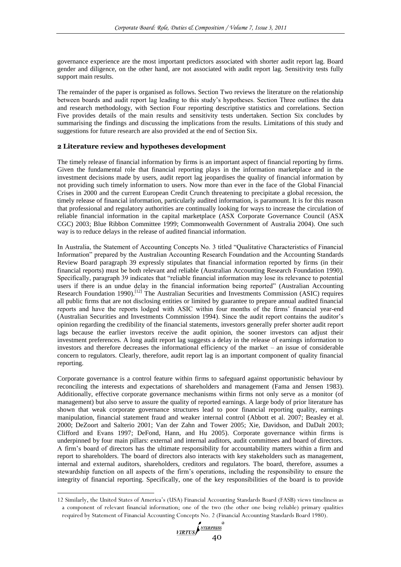governance experience are the most important predictors associated with shorter audit report lag. Board gender and diligence, on the other hand, are not associated with audit report lag. Sensitivity tests fully support main results.

The remainder of the paper is organised as follows. Section Two reviews the literature on the relationship between boards and audit report lag leading to this study's hypotheses. Section Three outlines the data and research methodology, with Section Four reporting descriptive statistics and correlations. Section Five provides details of the main results and sensitivity tests undertaken. Section Six concludes by summarising the findings and discussing the implications from the results. Limitations of this study and suggestions for future research are also provided at the end of Section Six.

# **2 Literature review and hypotheses development**

The timely release of financial information by firms is an important aspect of financial reporting by firms. Given the fundamental role that financial reporting plays in the information marketplace and in the investment decisions made by users, audit report lag jeopardises the quality of financial information by not providing such timely information to users. Now more than ever in the face of the Global Financial Crises in 2000 and the current European Credit Crunch threatening to precipitate a global recession, the timely release of financial information, particularly audited information, is paramount. It is for this reason that professional and regulatory authorities are continually looking for ways to increase the circulation of reliable financial information in the capital marketplace [\(ASX Corporate Governance Council \(ASX](#page-14-2)  [CGC\) 2003;](#page-14-2) [Blue Ribbon Committee 1999;](#page-15-4) [Commonwealth Government of Australia 2004\)](#page-15-5). One such way is to reduce delays in the release of audited financial information.

In Australia, the Statement of Accounting Concepts No. 3 titled "Qualitative Characteristics of Financial Information" prepared by the Australian Accounting Research Foundation and the Accounting Standards Review Board paragraph 39 expressly stipulates that financial information reported by firms (in their financial reports) must be both relevant and reliable [\(Australian Accounting Research Foundation 1990\)](#page-14-3). Specifically, paragraph 39 indicates that "reliable financial information may lose its relevance to potential users if there is an undue delay in the financial information being reported" (Australian Accounting [Research Foundation 1990\)](#page-14-3).<sup>[12]</sup> The Australian Securities and Investments Commission (ASIC) requires all public firms that are not disclosing entities or limited by guarantee to prepare annual audited financial reports and have the reports lodged with ASIC within four months of the firms' financial year-end [\(Australian Securities and Investments Commission 1994\)](#page-15-6). Since the audit report contains the auditor's opinion regarding the credibility of the financial statements, investors generally prefer shorter audit report lags because the earlier investors receive the audit opinion, the sooner investors can adjust their investment preferences. A long audit report lag suggests a delay in the release of earnings information to investors and therefore decreases the informational efficiency of the market – an issue of considerable concern to regulators. Clearly, therefore, audit report lag is an important component of quality financial reporting.

Corporate governance is a control feature within firms to safeguard against opportunistic behaviour by reconciling the interests and expectations of shareholders and management [\(Fama and Jensen 1983\)](#page-15-7). Additionally, effective corporate governance mechanisms within firms not only serve as a monitor (of management) but also serve to assure the quality of reported earnings. A large body of prior literature has shown that weak corporate governance structures lead to poor financial reporting quality, earnings manipulation, financial statement fraud and weaker internal control [\(Abbott et al. 2007;](#page-14-4) [Beasley et al.](#page-15-8)  [2000;](#page-15-8) [DeZoort and Salterio 2001;](#page-15-9) [Van der Zahn and Tower 2005;](#page-16-5) [Xie, Davidson, and DaDalt 2003;](#page-16-6) Clifford and [Evans 1997;](#page-15-10) [DeFond, Hann, and Hu 2005\)](#page-15-11). Corporate governance within firms is underpinned by four main pillars: external and internal auditors, audit committees and board of directors. A firm's board of directors has the ultimate responsibility for accountability matters within a firm and report to shareholders. The board of directors also interacts with key stakeholders such as management, internal and external auditors, shareholders, creditors and regulators. The board, therefore, assumes a stewardship function on all aspects of the firm's operations, including the responsibility to ensure the integrity of financial reporting. Specifically, one of the key responsibilities of the board is to provide

-



<sup>12</sup> Similarly, the United States of America's (USA) Financial Accounting Standards Board (FASB) views timeliness as a component of relevant financial information; one of the two (the other one being reliable) primary qualities required by Statement of Financial Accounting Concepts No. 2 [\(Financial Accounting Standards Board 1980\)](#page-15-12).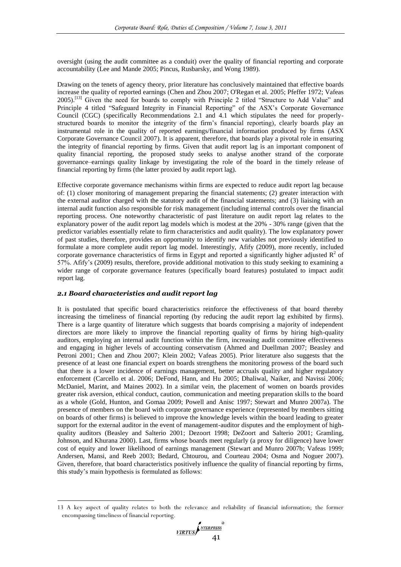oversight (using the audit committee as a conduit) over the quality of financial reporting and corporate accountability [\(Lee and Mande 2005;](#page-16-7) [Pincus, Rusbarsky, and Wong 1989\)](#page-16-8).

Drawing on the tenets of agency theory, prior literature has conclusively maintained that effective boards increase the quality of reported earnings [\(Chen and Zhou 2007;](#page-15-13) [O'Regan et al. 2005;](#page-16-9) [Pfeffer 1972;](#page-16-10) [Vafeas](#page-16-11)  [2005\)](#page-16-11).<sup>[13]</sup> Given the need for boards to comply with Principle 2 titled "Structure to Add Value" and Principle 4 titled "Safeguard Integrity in Financial Reporting" of the ASX's Corporate Governance Council (CGC) (specifically Recommendations 2.1 and 4.1 which stipulates the need for properlystructured boards to monitor the integrity of the firm's financial reporting), clearly boards play an instrumental role in the quality of reported earnings/financial information produced by firms [\(ASX](#page-14-1)  [Corporate Governance Council 2007\)](#page-14-1). It is apparent, therefore, that boards play a pivotal role in ensuring the integrity of financial reporting by firms. Given that audit report lag is an important component of quality financial reporting, the proposed study seeks to analyse another strand of the corporate governance–earnings quality linkage by investigating the role of the board in the timely release of financial reporting by firms (the latter proxied by audit report lag).

Effective corporate governance mechanisms within firms are expected to reduce audit report lag because of: (1) closer monitoring of management preparing the financial statements; (2) greater interaction with the external auditor charged with the statutory audit of the financial statements; and (3) liaising with an internal audit function also responsible for risk management (including internal controls over the financial reporting process. One noteworthy characteristic of past literature on audit report lag relates to the explanatory power of the audit report lag models which is modest at the 20% - 30% range (given that the predictor variables essentially relate to firm characteristics and audit quality). The low explanatory power of past studies, therefore, provides an opportunity to identify new variables not previously identified to formulate a more complete audit report lag model. Interestingly, Afify [\(2009\)](#page-14-0), more recently, included corporate governance characteristics of firms in Egypt and reported a significantly higher adjusted  $\mathbb{R}^2$  of 57%. Afify's [\(2009\)](#page-14-0) results, therefore, provide additional motivation to this study seeking to examining a wider range of corporate governance features (specifically board features) postulated to impact audit report lag.

## *2.1 Board characteristics and audit report lag*

-

It is postulated that specific board characteristics reinforce the effectiveness of that board thereby increasing the timeliness of financial reporting (by reducing the audit report lag exhibited by firms). There is a large quantity of literature which suggests that boards comprising a majority of independent directors are more likely to improve the financial reporting quality of firms by hiring high-quality auditors, employing an internal audit function within the firm, increasing audit committee effectiveness and engaging in higher levels of accounting conservatism [\(Ahmed and Duellman 2007;](#page-14-5) [Beasley and](#page-15-14)  [Petroni 2001;](#page-15-14) [Chen and Zhou 2007;](#page-15-13) [Klein 2002;](#page-16-12) [Vafeas 2005\)](#page-16-11). Prior literature also suggests that the presence of at least one financial expert on boards strengthens the monitoring prowess of the board such that there is a lower incidence of earnings management, better accruals quality and higher regulatory enforcement [\(Carcello et al. 2006;](#page-15-15) [DeFond, Hann, and Hu 2005;](#page-15-11) [Dhaliwal, Naiker, and Navissi 2006;](#page-15-16) [McDaniel, Marint, and Maines 2002\)](#page-16-13). In a similar vein, the placement of women on boards provides greater risk aversion, ethical conduct, caution, communication and meeting preparation skills to the board as a whole [\(Gold, Hunton, and Gomaa 2009;](#page-15-17) [Powell and Anisc 1997;](#page-16-14) [Stewart and Munro 2007a\)](#page-16-15). The presence of members on the board with corporate governance experience (represented by members sitting on boards of other firms) is believed to improve the knowledge levels within the board leading to greater support for the external auditor in the event of management-auditor disputes and the employment of highquality auditors [\(Beasley and Salterio 2001;](#page-15-18) [Dezoort 1998;](#page-15-19) [DeZoort and Salterio 2001;](#page-15-9) [Gramling,](#page-16-16)  [Johnson, and Khurana 2000\)](#page-16-16). Last, firms whose boards meet regularly (a proxy for diligence) have lower cost of equity and lower likelihood of earnings management [\(Stewart and Munro 2007b;](#page-16-17) [Vafeas 1999;](#page-16-18) [Andersen, Mansi, and Reeb 2003;](#page-14-6) [Bedard, Chtourou, and Courteau 2004;](#page-15-20) [Osma and Noguer 2007\)](#page-16-19). Given, therefore, that board characteristics positively influence the quality of financial reporting by firms, this study's main hypothesis is formulated as follows:

<sup>13</sup> A key aspect of quality relates to both the relevance and reliability of financial information; the former encompassing timeliness of financial reporting.

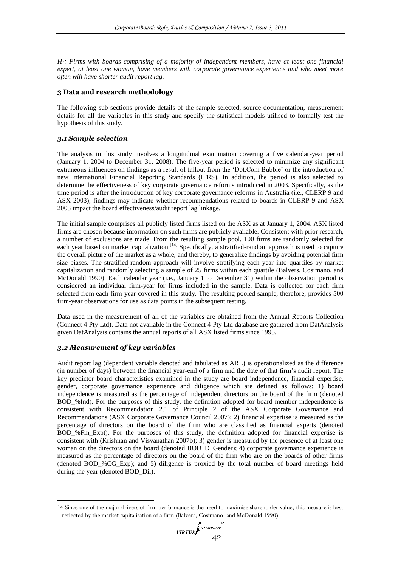*H1: Firms with boards comprising of a majority of independent members, have at least one financial expert, at least one woman, have members with corporate governance experience and who meet more often will have shorter audit report lag.*

# **3 Data and research methodology**

The following sub-sections provide details of the sample selected, source documentation, measurement details for all the variables in this study and specify the statistical models utilised to formally test the hypothesis of this study.

#### *3.1 Sample selection*

The analysis in this study involves a longitudinal examination covering a five calendar-year period (January 1, 2004 to December 31, 2008). The five-year period is selected to minimize any significant extraneous influences on findings as a result of fallout from the 'Dot.Com Bubble' or the introduction of new International Financial Reporting Standards (IFRS). In addition, the period is also selected to determine the effectiveness of key corporate governance reforms introduced in 2003. Specifically, as the time period is after the introduction of key corporate governance reforms in Australia (i.e., CLERP 9 and ASX 2003), findings may indicate whether recommendations related to boards in CLERP 9 and ASX 2003 impact the board effectiveness/audit report lag linkage.

The initial sample comprises all publicly listed firms listed on the ASX as at January 1, 2004. ASX listed firms are chosen because information on such firms are publicly available. Consistent with prior research, a number of exclusions are made. From the resulting sample pool, 100 firms are randomly selected for each year based on market capitalization.<sup>[14]</sup> Specifically, a stratified-random approach is used to capture the overall picture of the market as a whole, and thereby, to generalize findings by avoiding potential firm size biases. The stratified-random approach will involve stratifying each year into quartiles by market capitalization and randomly selecting a sample of 25 firms within each quartile [\(Balvers, Cosimano, and](#page-15-21)  [McDonald 1990\)](#page-15-21). Each calendar year (i.e., January 1 to December 31) within the observation period is considered an individual firm-year for firms included in the sample. Data is collected for each firm selected from each firm-year covered in this study. The resulting pooled sample, therefore, provides 500 firm-year observations for use as data points in the subsequent testing.

Data used in the measurement of all of the variables are obtained from the Annual Reports Collection (Connect 4 Pty Ltd). Data not available in the Connect 4 Pty Ltd database are gathered from DatAnalysis given DatAnalysis contains the annual reports of all ASX listed firms since 1995.

## *3.2 Measurement of key variables*

-

Audit report lag (dependent variable denoted and tabulated as ARL) is operationalized as the difference (in number of days) between the financial year-end of a firm and the date of that firm's audit report. The key predictor board characteristics examined in the study are board independence, financial expertise, gender, corporate governance experience and diligence which are defined as follows: 1) board independence is measured as the percentage of independent directors on the board of the firm (denoted BOD\_%Ind). For the purposes of this study, the definition adopted for board member independence is consistent with Recommendation 2.1 of Principle 2 of the ASX Corporate Governance and Recommendations [\(ASX Corporate Governance Council 2007\)](#page-14-1); 2) financial expertise is measured as the percentage of directors on the board of the firm who are classified as financial experts (denoted BOD %Fin Expt). For the purposes of this study, the definition adopted for financial expertise is consistent with [\(Krishnan and Visvanathan 2007b\)](#page-16-20); 3) gender is measured by the presence of at least one woman on the directors on the board (denoted BOD\_D\_Gender); 4) corporate governance experience is measured as the percentage of directors on the board of the firm who are on the boards of other firms (denoted BOD\_%CG\_Exp); and 5) diligence is proxied by the total number of board meetings held during the year (denoted BOD\_Dil).

<sup>14</sup> Since one of the major drivers of firm performance is the need to maximise shareholder value, this measure is best reflected by the market capitalisation of a firm [\(Balvers, Cosimano, and McDonald 1990\)](#page-15-21).

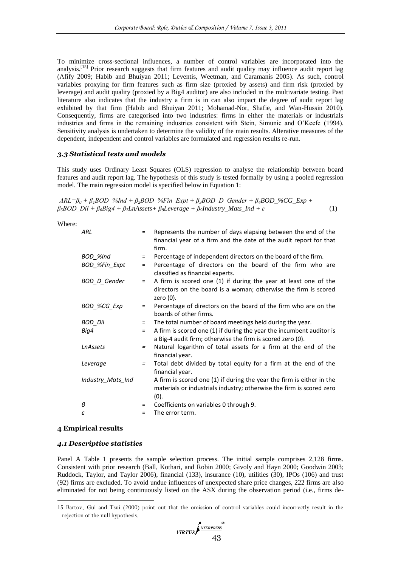To minimize cross-sectional influences, a number of control variables are incorporated into the analysis.<sup>[15]</sup> Prior research suggests that firm features and audit quality may influence audit report lag [\(Afify 2009;](#page-14-0) [Habib and Bhuiyan 2011;](#page-16-1) [Leventis, Weetman, and Caramanis 2005\)](#page-16-2). As such, control variables proxying for firm features such as firm size (proxied by assets) and firm risk (proxied by leverage) and audit quality (proxied by a Big4 auditor) are also included in the multivariate testing. Past literature also indicates that the industry a firm is in can also impact the degree of audit report lag exhibited by that firm [\(Habib and Bhuiyan 2011;](#page-16-1) [Mohamad-Nor, Shafie, and Wan-Hussin 2010\)](#page-16-4). Consequently, firms are categorised into two industries: firms in either the materials or industrials industries and firms in the remaining industries consistent with Stein, Simunic and O'Keefe [\(1994\)](#page-16-21). Sensitivity analysis is undertaken to determine the validity of the main results. Alterative measures of the dependent, independent and control variables are formulated and regression results re-run.

#### *3.3 Statistical tests and models*

This study uses Ordinary Least Squares (OLS) regression to analyse the relationship between board features and audit report lag. The hypothesis of this study is tested formally by using a pooled regression model. The main regression model is specified below in Equation 1:

 $ARL = \beta_0 + \beta_1 BOD$  %Ind +  $\beta_2 BOD$  %Fin Expt +  $\beta_3 BOD$  D Gender +  $\beta_4 BOD$  %CG\_Exp + *β5BOD\_Dil + β6Big4 + β7LnAssets+ β8Leverage + β9Industry\_Mats\_Ind + ε* (1)

Where:

| ARL               | $=$ | Represents the number of days elapsing between the end of the<br>financial year of a firm and the date of the audit report for that<br>firm.          |
|-------------------|-----|-------------------------------------------------------------------------------------------------------------------------------------------------------|
| BOD_%Ind          | Ξ   | Percentage of independent directors on the board of the firm.                                                                                         |
| BOD_%Fin_Expt     | $=$ | Percentage of directors on the board of the firm who are<br>classified as financial experts.                                                          |
| BOD_D_Gender      | Ξ   | A firm is scored one (1) if during the year at least one of the<br>directors on the board is a woman; otherwise the firm is scored<br>zero $(0)$ .    |
| BOD %CG Exp       | $=$ | Percentage of directors on the board of the firm who are on the<br>boards of other firms.                                                             |
| BOD Dil           | Ξ   | The total number of board meetings held during the year.                                                                                              |
| Big4              | $=$ | A firm is scored one (1) if during the year the incumbent auditor is<br>a Big-4 audit firm; otherwise the firm is scored zero (0).                    |
| LnAssets          | $=$ | Natural logarithm of total assets for a firm at the end of the<br>financial year.                                                                     |
| Leverage          | $=$ | Total debt divided by total equity for a firm at the end of the<br>financial year.                                                                    |
| Industry_Mats_Ind |     | A firm is scored one (1) if during the year the firm is either in the<br>materials or industrials industry; otherwise the firm is scored zero<br>(0). |
| в                 | $=$ | Coefficients on variables 0 through 9.                                                                                                                |
| ε                 | $=$ | The error term.                                                                                                                                       |

#### **4 Empirical results**

-

#### *4.1 Descriptive statistics*

Panel A Table 1 presents the sample selection process. The initial sample comprises 2,128 firms. Consistent with prior research [\(Ball, Kothari, and Robin 2000;](#page-15-22) [Givoly and Hayn 2000;](#page-15-23) [Goodwin 2003;](#page-16-22) [Ruddock, Taylor, and Taylor 2006\)](#page-16-23), financial (133), insurance (10), utilities (30), IPOs (106) and trust (92) firms are excluded. To avoid undue influences of unexpected share price changes, 222 firms are also eliminated for not being continuously listed on the ASX during the observation period (i.e., firms de-

<sup>15</sup> Bartov, Gul and Tsui [\(2000\)](#page-15-24) point out that the omission of control variables could incorrectly result in the rejection of the null hypothesis.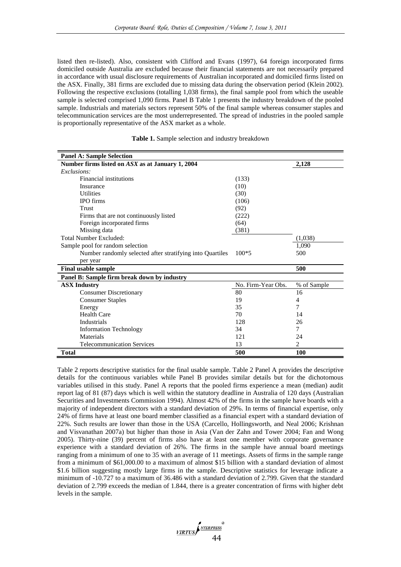listed then re-listed). Also, consistent with Clifford and Evans [\(1997\)](#page-15-10), 64 foreign incorporated firms domiciled outside Australia are excluded because their financial statements are not necessarily prepared in accordance with usual disclosure requirements of Australian incorporated and domiciled firms listed on the ASX. Finally, 381 firms are excluded due to missing data during the observation period [\(Klein 2002\)](#page-16-12). Following the respective exclusions (totalling 1,038 firms), the final sample pool from which the useable sample is selected comprised 1,090 firms. Panel B Table 1 presents the industry breakdown of the pooled sample. Industrials and materials sectors represent 50% of the final sample whereas consumer staples and telecommunication services are the most underrepresented. The spread of industries in the pooled sample is proportionally representative of the ASX market as a whole.

| <b>Panel A: Sample Selection</b>                          |                    |             |
|-----------------------------------------------------------|--------------------|-------------|
| Number firms listed on $ASX$ as at January 1, 2004        | 2,128              |             |
| Exclusions:                                               |                    |             |
| <b>Financial institutions</b>                             | (133)              |             |
| Insurance                                                 | (10)               |             |
| <b>Utilities</b>                                          | (30)               |             |
| <b>IPO</b> firms                                          | (106)              |             |
| Trust                                                     | (92)               |             |
| Firms that are not continuously listed                    | (222)              |             |
| Foreign incorporated firms                                | (64)               |             |
| Missing data                                              | (381)              |             |
| Total Number Excluded:                                    |                    | (1,038)     |
| Sample pool for random selection                          |                    | 1.090       |
| Number randomly selected after stratifying into Quartiles | $100*5$            | 500         |
| per year                                                  |                    |             |
| <b>Final usable sample</b>                                |                    | 500         |
| Panel B: Sample firm break down by industry               |                    |             |
| <b>ASX Industry</b>                                       | No. Firm-Year Obs. | % of Sample |
| <b>Consumer Discretionary</b>                             | 80                 | 16          |
| <b>Consumer Staples</b>                                   | 19                 | 4           |
| Energy                                                    | 35                 | 7           |
| <b>Health Care</b>                                        | 70                 | 14          |
| <b>Industrials</b>                                        | 128                | 26          |
| <b>Information Technology</b>                             | 34                 | 7           |
| Materials                                                 | 121                | 24          |
| <b>Telecommunication Services</b>                         | 13                 | 2           |
| <b>Total</b>                                              | 500                | 100         |

**Table 1.** Sample selection and industry breakdown

Table 2 reports descriptive statistics for the final usable sample. Table 2 Panel A provides the descriptive details for the continuous variables while Panel B provides similar details but for the dichotomous variables utilised in this study. Panel A reports that the pooled firms experience a mean (median) audit report lag of 81 (87) days which is well within the statutory deadline in Australia of 120 days [\(Australian](#page-15-6)  [Securities and Investments Commission 1994\)](#page-15-6). Almost 42% of the firms in the sample have boards with a majority of independent directors with a standard deviation of 29%. In terms of financial expertise, only 24% of firms have at least one board member classified as a financial expert with a standard deviation of 22%. Such results are lower than those in the USA [\(Carcello, Hollingsworth, and Neal 2006;](#page-15-25) [Krishnan](#page-16-24)  [and Visvanathan 2007a\)](#page-16-24) but higher than those in Asia [\(Van der Zahn and Tower 2004;](#page-16-25) [Fan and Wong](#page-15-26)  [2005\)](#page-15-26). Thirty-nine (39) percent of firms also have at least one member with corporate governance experience with a standard deviation of 26%. The firms in the sample have annual board meetings ranging from a minimum of one to 35 with an average of 11 meetings. Assets of firms in the sample range from a minimum of \$61,000.00 to a maximum of almost \$15 billion with a standard deviation of almost \$1.6 billion suggesting mostly large firms in the sample. Descriptive statistics for leverage indicate a minimum of -10.727 to a maximum of 36.486 with a standard deviation of 2.799. Given that the standard deviation of 2.799 exceeds the median of 1.844, there is a greater concentration of firms with higher debt levels in the sample.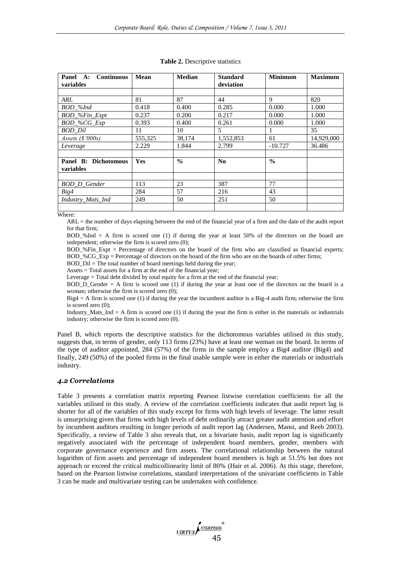| <b>Continuous</b><br>Panel A:<br>variables | Mean       | <b>Median</b> | <b>Standard</b><br>deviation | <b>Minimum</b> | <b>Maximum</b> |
|--------------------------------------------|------------|---------------|------------------------------|----------------|----------------|
|                                            |            |               |                              |                |                |
| ARL                                        | 81         | 87            | 44                           | 9              | 820            |
| BOD_%Ind                                   | 0.418      | 0.400         | 0.285                        | 0.000          | 1.000          |
| BOD_%Fin_Expt                              | 0.237      | 0.200         | 0.217                        | 0.000          | 1.000          |
| BOD_%CG_Exp                                | 0.393      | 0.400         | 0.261                        | 0.000          | 1.000          |
| BOD_Dil                                    | 11         | 10            | 5                            | 1              | 35             |
| Assets $(S'000s)$                          | 555,325    | 38,174        | 1,552,853                    | 61             | 14,929,000     |
| Leverage                                   | 2.229      | 1.844         | 2.799                        | $-10.727$      | 36.486         |
|                                            |            |               |                              |                |                |
| Panel B: Dichotomous                       | <b>Yes</b> | $\frac{0}{0}$ | No                           | $\frac{0}{0}$  |                |
| variables                                  |            |               |                              |                |                |
|                                            |            |               |                              |                |                |
| BOD_D_Gender                               | 113        | 23            | 387                          | 77             |                |
| Big4                                       | 284        | 57            | 216                          | 43             |                |
| Industry_Mats_Ind                          | 249        | 50            | 251                          | 50             |                |
|                                            |            |               |                              |                |                |

Where:

ARL = the number of days elapsing between the end of the financial year of a firm and the date of the audit report for that firm;

BOD %Ind  $= A$  firm is scored one (1) if during the year at least 50% of the directors on the board are independent; otherwise the firm is scored zero (0);

BOD %Fin Expt = Percentage of directors on the board of the firm who are classified as financial experts; BOD %CG Exp = Percentage of directors on the board of the firm who are on the boards of other firms;

BOD\_Dil = The total number of board meetings held during the year;

Assets  $=$  Total assets for a firm at the end of the financial year:

Leverage = Total debt divided by total equity for a firm at the end of the financial year;

BOD\_D\_Gender = A firm is scored one (1) if during the year at least one of the directors on the board is a woman; otherwise the firm is scored zero (0);

 $Big = A$  firm is scored one (1) if during the year the incumbent auditor is a Big-4 audit firm; otherwise the firm is scored zero (0);

Industry\_Mats\_Ind = A firm is scored one  $(1)$  if during the year the firm is either in the materials or industrials industry; otherwise the firm is scored zero (0).

Panel B, which reports the descriptive statistics for the dichotomous variables utilised in this study, suggests that, in terms of gender, only 113 firms (23%) have at least one woman on the board. In terms of the type of auditor appointed, 284 (57%) of the firms in the sample employ a Big4 auditor (Big4) and finally, 249 (50%) of the pooled firms in the final usable sample were in either the materials or industrials industry.

# *4.2 Correlations*

Table 3 presents a correlation matrix reporting Pearson listwise correlation coefficients for all the variables utilised in this study. A review of the correlation coefficients indicates that audit report lag is shorter for all of the variables of this study except for firms with high levels of leverage. The latter result is unsurprising given that firms with high levels of debt ordinarily attract greater audit attention and effort by incumbent auditors resulting in longer periods of audit report lag [\(Andersen, Mansi, and Reeb 2003\)](#page-14-6). Specifically, a review of Table 3 also reveals that, on a bivariate basis, audit report lag is significantly negatively associated with the percentage of independent board members, gender, members with corporate governance experience and firm assets. The correlational relationship between the natural logarithm of firm assets and percentage of independent board members is high at 51.5% but does not approach or exceed the critical multicollinearity limit of 80% [\(Hair et al. 2006\)](#page-16-26). At this stage, therefore, based on the Pearson listwise correlations, standard interpretations of the univariate coefficients in Table 3 can be made and multivariate testing can be undertaken with confidence.

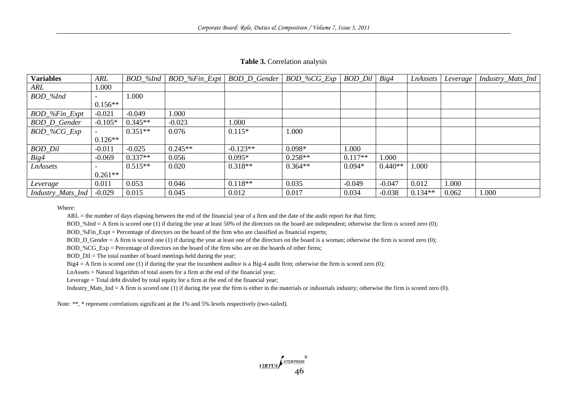| <b>Variables</b>  | ARL       | BOD %Ind  | $BOD\_$ % $Fin\_Expt$ | <b>BOD D Gender</b> | $BOD\_$ % $CG\_Exp$ | <b>BOD</b> Dil | Big4      | LnAssets  | Leverage | Industry_Mats_Ind |
|-------------------|-----------|-----------|-----------------------|---------------------|---------------------|----------------|-----------|-----------|----------|-------------------|
| ARL               | 1.000     |           |                       |                     |                     |                |           |           |          |                   |
| $BOD\_$ %Ind      |           | 1.000     |                       |                     |                     |                |           |           |          |                   |
|                   | $0.156**$ |           |                       |                     |                     |                |           |           |          |                   |
| BOD_%Fin_Expt     | $-0.021$  | $-0.049$  | 000.1                 |                     |                     |                |           |           |          |                   |
| BOD_D_Gender      | $-0.105*$ | $0.345**$ | $-0.023$              | 1.000               |                     |                |           |           |          |                   |
| $BOD\_%CG\_Exp$   |           | $0.351**$ | 0.076                 | $0.115*$            | 1.000               |                |           |           |          |                   |
|                   | $0.126**$ |           |                       |                     |                     |                |           |           |          |                   |
| <b>BOD_Dil</b>    | $-0.011$  | $-0.025$  | $0.245**$             | $-0.123**$          | $0.098*$            | 1.000          |           |           |          |                   |
| Big4              | $-0.069$  | $0.337**$ | 0.056                 | $0.095*$            | $0.258**$           | $0.117**$      | 1.000     |           |          |                   |
| LnAssets          |           | $0.515**$ | 0.020                 | $0.318**$           | $0.364**$           | $0.094*$       | $0.440**$ | 000.1     |          |                   |
|                   | $0.261**$ |           |                       |                     |                     |                |           |           |          |                   |
| Leverage          | 0.011     | 0.053     | 0.046                 | $0.118**$           | 0.035               | $-0.049$       | $-0.047$  | 0.012     | 1.000    |                   |
| Industry_Mats_Ind | $-0.029$  | 0.015     | 0.045                 | 0.012               | 0.017               | 0.034          | $-0.038$  | $0.134**$ | 0.062    | 1.000             |

**Table 3.** Correlation analysis

Where:

ARL = the number of days elapsing between the end of the financial year of a firm and the date of the audit report for that firm;

BOD\_%Ind = A firm is scored one (1) if during the year at least 50% of the directors on the board are independent; otherwise the firm is scored zero (0);

BOD\_%Fin\_Expt = Percentage of directors on the board of the firm who are classified as financial experts;

BOD\_D\_Gender = A firm is scored one (1) if during the year at least one of the directors on the board is a woman; otherwise the firm is scored zero (0);

BOD\_%CG\_Exp = Percentage of directors on the board of the firm who are on the boards of other firms;

BOD\_Dil = The total number of board meetings held during the year;

Big4 = A firm is scored one (1) if during the year the incumbent auditor is a Big-4 audit firm; otherwise the firm is scored zero (0);

LnAssets = Natural logarithm of total assets for a firm at the end of the financial year;

Leverage = Total debt divided by total equity for a firm at the end of the financial year;

Industry\_Mats\_Ind = A firm is scored one (1) if during the year the firm is either in the materials or industrials industry; otherwise the firm is scored zero (0).

Note: \*\*, \* represent correlations significant at the 1% and 5% levels respectively (two-tailed).

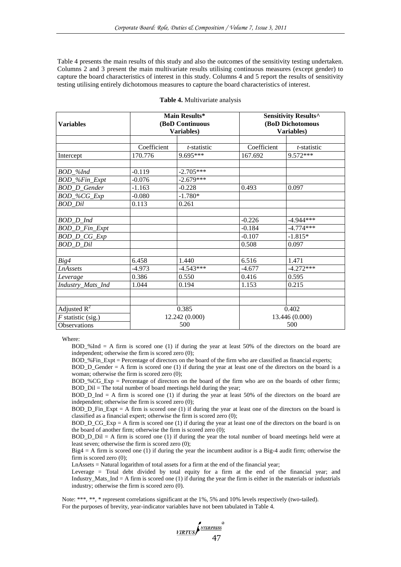Table 4 presents the main results of this study and also the outcomes of the sensitivity testing undertaken. Columns 2 and 3 present the main multivariate results utilising continuous measures (except gender) to capture the board characteristics of interest in this study. Columns 4 and 5 report the results of sensitivity testing utilising entirely dichotomous measures to capture the board characteristics of interest.

| <b>Variables</b>     |             | Main Results*<br>(BoD Continuous<br>Variables) | Sensitivity Results^<br>(BoD Dichotomous<br>Variables) |                |  |  |
|----------------------|-------------|------------------------------------------------|--------------------------------------------------------|----------------|--|--|
|                      |             |                                                |                                                        |                |  |  |
|                      | Coefficient | <i>t</i> -statistic                            | Coefficient                                            | t-statistic    |  |  |
| Intercept            | 170.776     | 9.695***                                       | 167.692                                                | 9.572***       |  |  |
| BOD_%Ind             | $-0.119$    | $-2.705***$                                    |                                                        |                |  |  |
| BOD_%Fin_Expt        | $-0.076$    | $-2.679***$                                    |                                                        |                |  |  |
| <b>BOD_D_Gender</b>  | $-1.163$    | $-0.228$                                       | 0.493                                                  | 0.097          |  |  |
| BOD_%CG_Exp          | $-0.080$    | $-1.780*$                                      |                                                        |                |  |  |
| BOD_Dil              | 0.113       | 0.261                                          |                                                        |                |  |  |
|                      |             |                                                |                                                        |                |  |  |
| BOD_D_Ind            |             |                                                | $-0.226$                                               | $-4.944***$    |  |  |
| BOD_D_Fin_Expt       |             |                                                | $-0.184$                                               | $-4.774***$    |  |  |
| BOD_D_CG_Exp         |             |                                                | $-0.107$                                               | $-1.815*$      |  |  |
| BOD D Dil            |             |                                                | 0.508                                                  | 0.097          |  |  |
|                      |             |                                                |                                                        |                |  |  |
| Big4                 | 6.458       | 1.440                                          | 6.516                                                  | 1.471          |  |  |
| <b>LnAssets</b>      | $-4.973$    | $-4.543***$                                    | $-4.677$                                               | $-4.272***$    |  |  |
| Leverage             | 0.386       | 0.550                                          | 0.416                                                  | 0.595          |  |  |
| Industry_Mats_Ind    | 1.044       | 0.194                                          | 1.153                                                  | 0.215          |  |  |
|                      |             |                                                |                                                        |                |  |  |
| Adjusted $R^2$       |             | 0.385                                          |                                                        | 0.402          |  |  |
| $F$ statistic (sig.) |             | 12.242 (0.000)                                 |                                                        | 13.446 (0.000) |  |  |
|                      |             |                                                | 500                                                    |                |  |  |
| Observations         |             | 500                                            |                                                        |                |  |  |

|  | Table 4. Multivariate analysis |  |
|--|--------------------------------|--|
|--|--------------------------------|--|

Where:

BOD\_%Ind = A firm is scored one (1) if during the year at least 50% of the directors on the board are independent; otherwise the firm is scored zero (0);

BOD\_%Fin\_Expt = Percentage of directors on the board of the firm who are classified as financial experts;

BOD\_D\_Gender = A firm is scored one (1) if during the year at least one of the directors on the board is a woman; otherwise the firm is scored zero (0);

BOD\_%CG\_Exp = Percentage of directors on the board of the firm who are on the boards of other firms; BOD\_Dil = The total number of board meetings held during the year;

BOD D Ind  $= A$  firm is scored one (1) if during the year at least 50% of the directors on the board are independent; otherwise the firm is scored zero (0);

 $BOD\_D_F$ Fin $_R$ Expt = A firm is scored one (1) if during the year at least one of the directors on the board is classified as a financial expert; otherwise the firm is scored zero (0);

 $BOD\_D\_CG\_Exp = A$  firm is scored one (1) if during the year at least one of the directors on the board is on the board of another firm; otherwise the firm is scored zero (0);

 $BOD\_D\_Dil = A$  firm is scored one (1) if during the year the total number of board meetings held were at least seven; otherwise the firm is scored zero (0);

 $Big = A$  firm is scored one (1) if during the year the incumbent auditor is a Big-4 audit firm; otherwise the firm is scored zero (0);

LnAssets = Natural logarithm of total assets for a firm at the end of the financial year;

Leverage = Total debt divided by total equity for a firm at the end of the financial year; and Industry\_Mats\_Ind = A firm is scored one (1) if during the year the firm is either in the materials or industrials industry; otherwise the firm is scored zero (0).

Note: \*\*\*, \*\*, \* represent correlations significant at the 1%, 5% and 10% levels respectively (two-tailed). For the purposes of brevity, year-indicator variables have not been tabulated in Table 4.

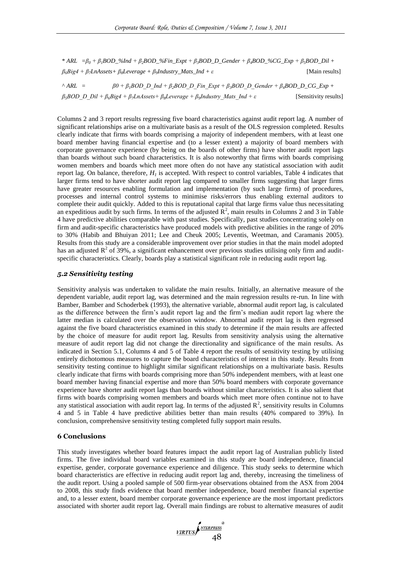\* *ARL =β<sup>0</sup> + β1BOD\_%Ind + β2BOD\_%Fin\_Expt + β3BOD\_D\_Gender + β4BOD\_%CG\_Exp + β5BOD\_Dil + β6Big4 + β7LnAssets+ β8Leverage + β<sup>9</sup> Industry\_Mats\_Ind + ε*  [Main results]

 $^{\wedge}$  *ARL* =  $\beta\theta + \beta$ <sup>*,BOD\_D\_Ind* + *β-BOD\_D\_Fin\_Expt* + *β,BOD\_D\_Gender* + *β<sub>4</sub>BOD\_D\_CG\_Exp* +</sup> *β5BOD\_D\_Dil + β6Big4 + β7LnAssets+ β8Leverage + β<sup>9</sup> Industry\_Mats\_Ind + ε* [Sensitivity results]

Columns 2 and 3 report results regressing five board characteristics against audit report lag. A number of significant relationships arise on a multivariate basis as a result of the OLS regression completed. Results clearly indicate that firms with boards comprising a majority of independent members, with at least one board member having financial expertise and (to a lesser extent) a majority of board members with corporate governance experience (by being on the boards of other firms) have shorter audit report lags than boards without such board characteristics. It is also noteworthy that firms with boards comprising women members and boards which meet more often do not have any statistical association with audit report lag. On balance, therefore,  $H<sub>I</sub>$  is accepted. With respect to control variables, Table 4 indicates that larger firms tend to have shorter audit report lag compared to smaller firms suggesting that larger firms have greater resources enabling formulation and implementation (by such large firms) of procedures, processes and internal control systems to minimise risks/errors thus enabling external auditors to complete their audit quickly. Added to this is reputational capital that large firms value thus necessitating an expeditious audit by such firms. In terms of the adjusted  $\mathbb{R}^2$ , main results in Columns 2 and 3 in Table 4 have predictive abilities comparable with past studies. Specifically, past studies concentrating solely on firm and audit-specific characteristics have produced models with predictive abilities in the range of 20% to 30% [\(Habib and Bhuiyan 2011;](#page-16-1) [Lee and Cheuk 2005;](#page-16-27) [Leventis, Weetman, and Caramanis 2005\)](#page-16-2). Results from this study are a considerable improvement over prior studies in that the main model adopted has an adjusted  $\mathbb{R}^2$  of 39%, a significant enhancement over previous studies utilising only firm and auditspecific characteristics. Clearly, boards play a statistical significant role in reducing audit report lag.

#### *5.2 Sensitivity testing*

Sensitivity analysis was undertaken to validate the main results. Initially, an alternative measure of the dependent variable, audit report lag, was determined and the main regression results re-run. In line with Bamber, Bamber and Schoderbek [\(1993\)](#page-15-1), the alternative variable, abnormal audit report lag, is calculated as the difference between the firm's audit report lag and the firm's median audit report lag where the latter median is calculated over the observation window. Abnormal audit report lag is then regressed against the five board characteristics examined in this study to determine if the main results are affected by the choice of measure for audit report lag. Results from sensitivity analysis using the alternative measure of audit report lag did not change the directionality and significance of the main results. As indicated in Section 5.1, Columns 4 and 5 of Table 4 report the results of sensitivity testing by utilising entirely dichotomous measures to capture the board characteristics of interest in this study. Results from sensitivity testing continue to highlight similar significant relationships on a multivariate basis. Results clearly indicate that firms with boards comprising more than 50% independent members, with at least one board member having financial expertise and more than 50% board members with corporate governance experience have shorter audit report lags than boards without similar characteristics. It is also salient that firms with boards comprising women members and boards which meet more often continue not to have any statistical association with audit report lag. In terms of the adjusted  $\mathbb{R}^2$ , sensitivity results in Columns 4 and 5 in Table 4 have predictive abilities better than main results (40% compared to 39%). In conclusion, comprehensive sensitivity testing completed fully support main results.

#### **6 Conclusions**

This study investigates whether board features impact the audit report lag of Australian publicly listed firms. The five individual board variables examined in this study are board independence, financial expertise, gender, corporate governance experience and diligence. This study seeks to determine which board characteristics are effective in reducing audit report lag and, thereby, increasing the timeliness of the audit report. Using a pooled sample of 500 firm-year observations obtained from the ASX from 2004 to 2008, this study finds evidence that board member independence, board member financial expertise and, to a lesser extent, board member corporate governance experience are the most important predictors associated with shorter audit report lag. Overall main findings are robust to alternative measures of audit

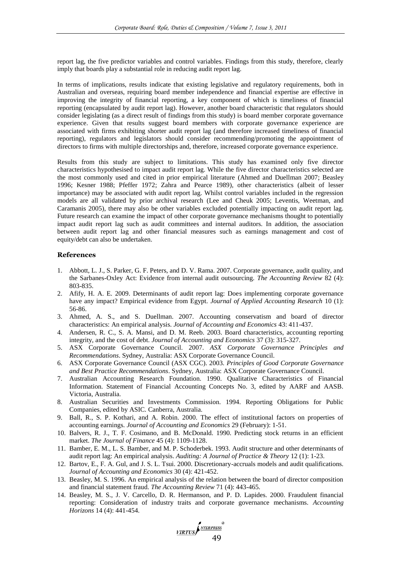report lag, the five predictor variables and control variables. Findings from this study, therefore, clearly imply that boards play a substantial role in reducing audit report lag.

In terms of implications, results indicate that existing legislative and regulatory requirements, both in Australian and overseas, requiring board member independence and financial expertise are effective in improving the integrity of financial reporting, a key component of which is timeliness of financial reporting (encapsulated by audit report lag). However, another board characteristic that regulators should consider legislating (as a direct result of findings from this study) is board member corporate governance experience. Given that results suggest board members with corporate governance experience are associated with firms exhibiting shorter audit report lag (and therefore increased timeliness of financial reporting), regulators and legislators should consider recommending/promoting the appointment of directors to firms with multiple directorships and, therefore, increased corporate governance experience.

Results from this study are subject to limitations. This study has examined only five director characteristics hypothesised to impact audit report lag. While the five director characteristics selected are the most commonly used and cited in prior empirical literature [\(Ahmed and Duellman 2007;](#page-14-5) [Beasley](#page-15-27)  [1996;](#page-15-27) [Kesner 1988;](#page-16-28) [Pfeffer 1972;](#page-16-10) [Zahra and Pearce 1989\)](#page-17-0), other characteristics (albeit of lesser importance) may be associated with audit report lag. Whilst control variables included in the regression models are all validated by prior archival research [\(Lee and Cheuk 2005;](#page-16-27) [Leventis, Weetman, and](#page-16-2)  [Caramanis 2005\)](#page-16-2), there may also be other variables excluded potentially impacting on audit report lag. Future research can examine the impact of other corporate governance mechanisms thought to potentially impact audit report lag such as audit committees and internal auditors. In addition, the association between audit report lag and other financial measures such as earnings management and cost of equity/debt can also be undertaken.

#### **References**

- 1. Abbott, L. J., S. Parker, G. F. Peters, and D. V. Rama. 2007. Corporate governance, audit quality, and the Sarbanes-Oxley Act: Evidence from internal audit outsourcing. *The Accounting Review* 82 (4): 803-835.
- 2. Afify, H. A. E. 2009. Determinants of audit report lag: Does implementing corporate governance have any impact? Empirical evidence from Egypt. *Journal of Applied Accounting Research* 10 (1): 56-86.
- 3. Ahmed, A. S., and S. Duellman. 2007. Accounting conservatism and board of director characteristics: An empirical analysis. *Journal of Accounting and Economics* 43: 411-437.
- 4. Andersen, R. C., S. A. Mansi, and D. M. Reeb. 2003. Board characteristics, accounting reporting integrity, and the cost of debt. *Journal of Accounting and Economics* 37 (3): 315-327.
- 5. ASX Corporate Governance Council. 2007. *ASX Corporate Governance Principles and Recommendations*. Sydney, Australia: ASX Corporate Governance Council.
- 6. ASX Corporate Governance Council (ASX CGC). 2003. *Principles of Good Corporate Governance and Best Practice Recommendations*. Sydney, Australia: ASX Corporate Governance Council.
- 7. Australian Accounting Research Foundation. 1990. Qualitative Characteristics of Financial Information. Statement of Financial Accounting Concepts No. 3, edited by AARF and AASB. Victoria, Australia.
- 8. Australian Securities and Investments Commission. 1994. Reporting Obligations for Public Companies, edited by ASIC. Canberra, Australia.
- 9. Ball, R., S. P. Kothari, and A. Robin. 2000. The effect of institutional factors on properties of accounting earnings. *Journal of Accounting and Economics* 29 (February): 1-51.
- 10. Balvers, R. J., T. F. Cosimano, and B. McDonald. 1990. Predicting stock returns in an efficient market. *The Journal of Finance* 45 (4): 1109-1128.
- 11. Bamber, E. M., L. S. Bamber, and M. P. Schoderbek. 1993. Audit structure and other determinants of audit report lag: An empirical analysis. *Auditing: A Journal of Practice & Theory* 12 (1): 1-23.
- 12. Bartov, E., F. A. Gul, and J. S. L. Tsui. 2000. Discretionary-accruals models and audit qualifications. *Journal of Accounting and Economics* 30 (4): 421-452.
- 13. Beasley, M. S. 1996. An empirical analysis of the relation between the board of director composition and financial statement fraud. *The Accounting Review* 71 (4): 443-465.
- 14. Beasley, M. S., J. V. Carcello, D. R. Hermanson, and P. D. Lapides. 2000. Fraudulent financial reporting: Consideration of industry traits and corporate governance mechanisms. *Accounting Horizons* 14 (4): 441-454.

VIRTUSA<sup>NTERPRESS</sup><sup>®</sup>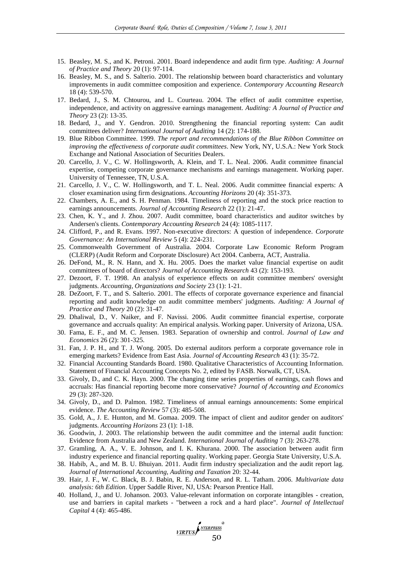- 15. Beasley, M. S., and K. Petroni. 2001. Board independence and audit firm type. *Auditing: A Journal of Practice and Theory* 20 (1): 97-114.
- 16. Beasley, M. S., and S. Salterio. 2001. The relationship between board characteristics and voluntary improvements in audit committee composition and experience. *Contemporary Accounting Research* 18 (4): 539-570.
- 17. Bedard, J., S. M. Chtourou, and L. Courteau. 2004. The effect of audit committee expertise, independence, and activity on aggressive earnings management. *Auditing: A Journal of Practice and Theory* 23 (2): 13-35.
- 18. Bedard, J., and Y. Gendron. 2010. Strengthening the financial reporting system: Can audit committees deliver? *International Journal of Auditing* 14 (2): 174-188.
- 19. Blue Ribbon Committee. 1999. *The report and recommendations of the Blue Ribbon Committee on improving the effectiveness of corporate audit committees*. New York, NY, U.S.A.: New York Stock Exchange and National Association of Securities Dealers.
- 20. Carcello, J. V., C. W. Hollingsworth, A. Klein, and T. L. Neal. 2006. Audit committee financial expertise, competing corporate governance mechanisms and earnings management. Working paper. University of Tennessee, TN, U.S.A.
- 21. Carcello, J. V., C. W. Hollingsworth, and T. L. Neal. 2006. Audit committee financial experts: A closer examination using firm designations. *Accounting Horizons* 20 (4): 351-373.
- 22. Chambers, A. E., and S. H. Penman. 1984. Timeliness of reporting and the stock price reaction to earnings announcements. *Journal of Accounting Research* 22 (1): 21-47.
- 23. Chen, K. Y., and J. Zhou. 2007. Audit committee, board characteristics and auditor switches by Andersen's clients. *Contemporary Accounting Research* 24 (4): 1085-1117.
- 24. Clifford, P., and R. Evans. 1997. Non-executive directors: A question of independence. *Corporate Governance: An International Review* 5 (4): 224-231.
- 25. Commonwealth Government of Australia. 2004. Corporate Law Economic Reform Program (CLERP) (Audit Reform and Corporate Disclosure) Act 2004. Canberra, ACT, Australia.
- 26. DeFond, M., R. N. Hann, and X. Hu. 2005. Does the market value financial expertise on audit committees of board of directors? *Journal of Accounting Research* 43 (2): 153-193.
- 27. Dezoort, F. T. 1998. An analysis of experience effects on audit committee members' oversight judgments. *Accounting, Organizations and Society* 23 (1): 1-21.
- 28. DeZoort, F. T., and S. Salterio. 2001. The effects of corporate governance experience and financial reporting and audit knowledge on audit committee members' judgments. *Auditing: A Journal of Practice and Theory* 20 (2): 31-47.
- 29. Dhaliwal, D., V. Naiker, and F. Navissi. 2006. Audit committee financial expertise, corporate governance and accruals quality: An empirical analysis. Working paper. University of Arizona, USA.
- 30. Fama, E. F., and M. C. Jensen. 1983. Separation of ownership and control. *Journal of Law and Economics* 26 (2): 301-325.
- 31. Fan, J. P. H., and T. J. Wong. 2005. Do external auditors perform a corporate governance role in emerging markets? Evidence from East Asia. *Journal of Accounting Research* 43 (1): 35-72.
- 32. Financial Accounting Standards Board. 1980. Qualitative Characteristics of Accounting Information. Statement of Financial Accounting Concepts No. 2, edited by FASB. Norwalk, CT, USA.
- 33. Givoly, D., and C. K. Hayn. 2000. The changing time series properties of earnings, cash flows and accruals: Has financial reporting become more conservative? *Journal of Accounting and Economics* 29 (3): 287-320.
- 34. Givoly, D., and D. Palmon. 1982. Timeliness of annual earnings announcements: Some empirical evidence. *The Accounting Review* 57 (3): 485-508.
- 35. Gold, A., J. E. Hunton, and M. Gomaa. 2009. The impact of client and auditor gender on auditors' judgments. *Accounting Horizons* 23 (1): 1-18.
- 36. Goodwin, J. 2003. The relationship between the audit committee and the internal audit function: Evidence from Australia and New Zealand. *International Journal of Auditing* 7 (3): 263-278.
- 37. Gramling, A. A., V. E. Johnson, and I. K. Khurana. 2000. The association between audit firm industry experience and financial reporting quality. Working paper. Georgia State University, U.S.A.
- 38. Habib, A., and M. B. U. Bhuiyan. 2011. Audit firm industry specialization and the audit report lag. *Journal of International Accounting, Auditing and Taxation* 20: 32-44.
- 39. Hair, J. F., W. C. Black, B. J. Babin, R. E. Anderson, and R. L. Tatham. 2006. *Multivariate data analysis: 6th Edition*. Upper Saddle River, NJ, USA: Pearson Prentice Hall.
- 40. Holland, J., and U. Johanson. 2003. Value-relevant information on corporate intangibles creation, use and barriers in capital markets - "between a rock and a hard place". *Journal of Intellectual Capital* 4 (4): 465-486.

VIRTUSA<sup>NTERPRESS</sup>